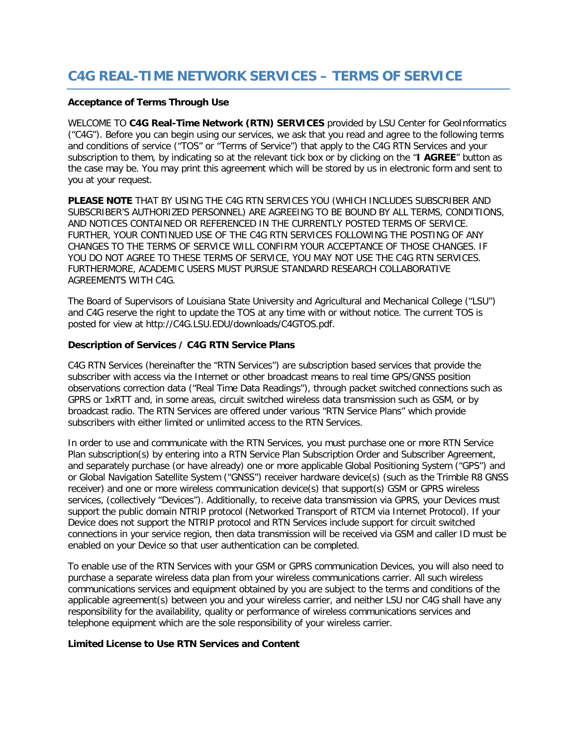# **C4G REAL-TIME NETWORK SERVICES – TERMS OF SERVICE**

### **Acceptance of Terms Through Use**

WELCOME TO **C4G Real-Time Network (RTN) SERVICES** provided by LSU Center for GeoInformatics ("C4G"). Before you can begin using our services, we ask that you read and agree to the following terms and conditions of service ("TOS" or "Terms of Service") that apply to the C4G RTN Services and your subscription to them, by indicating so at the relevant tick box or by clicking on the "**I AGREE**" button as the case may be. You may print this agreement which will be stored by us in electronic form and sent to you at your request.

**PLEASE NOTE** THAT BY USING THE C4G RTN SERVICES YOU (WHICH INCLUDES SUBSCRIBER AND SUBSCRIBER'S AUTHORIZED PERSONNEL) ARE AGREEING TO BE BOUND BY ALL TERMS, CONDITIONS, AND NOTICES CONTAINED OR REFERENCED IN THE CURRENTLY POSTED TERMS OF SERVICE. FURTHER, YOUR CONTINUED USE OF THE C4G RTN SERVICES FOLLOWING THE POSTING OF ANY CHANGES TO THE TERMS OF SERVICE WILL CONFIRM YOUR ACCEPTANCE OF THOSE CHANGES. IF YOU DO NOT AGREE TO THESE TERMS OF SERVICE, YOU MAY NOT USE THE C4G RTN SERVICES. FURTHERMORE, ACADEMIC USERS MUST PURSUE STANDARD RESEARCH COLLABORATIVE AGREEMENTS WITH C4G.

The Board of Supervisors of Louisiana State University and Agricultural and Mechanical College ("LSU") and C4G reserve the right to update the TOS at any time with or without notice. The current TOS is posted for view at http://C4G.LSU.EDU/downloads/C4GTOS.pdf.

# **Description of Services / C4G RTN Service Plans**

C4G RTN Services (hereinafter the "RTN Services") are subscription based services that provide the subscriber with access via the Internet or other broadcast means to real time GPS/GNSS position observations correction data ("Real Time Data Readings"), through packet switched connections such as GPRS or 1xRTT and, in some areas, circuit switched wireless data transmission such as GSM, or by broadcast radio. The RTN Services are offered under various "RTN Service Plans" which provide subscribers with either limited or unlimited access to the RTN Services.

In order to use and communicate with the RTN Services, you must purchase one or more RTN Service Plan subscription(s) by entering into a RTN Service Plan Subscription Order and Subscriber Agreement, and separately purchase (or have already) one or more applicable Global Positioning System ("GPS") and or Global Navigation Satellite System ("GNSS") receiver hardware device(s) (such as the Trimble R8 GNSS receiver) and one or more wireless communication device(s) that support(s) GSM or GPRS wireless services, (collectively "Devices"). Additionally, to receive data transmission via GPRS, your Devices must support the public domain NTRIP protocol (Networked Transport of RTCM via Internet Protocol). If your Device does not support the NTRIP protocol and RTN Services include support for circuit switched connections in your service region, then data transmission will be received via GSM and caller ID must be enabled on your Device so that user authentication can be completed.

To enable use of the RTN Services with your GSM or GPRS communication Devices, you will also need to purchase a separate wireless data plan from your wireless communications carrier. All such wireless communications services and equipment obtained by you are subject to the terms and conditions of the applicable agreement(s) between you and your wireless carrier, and neither LSU nor C4G shall have any responsibility for the availability, quality or performance of wireless communications services and telephone equipment which are the sole responsibility of your wireless carrier.

## **Limited License to Use RTN Services and Content**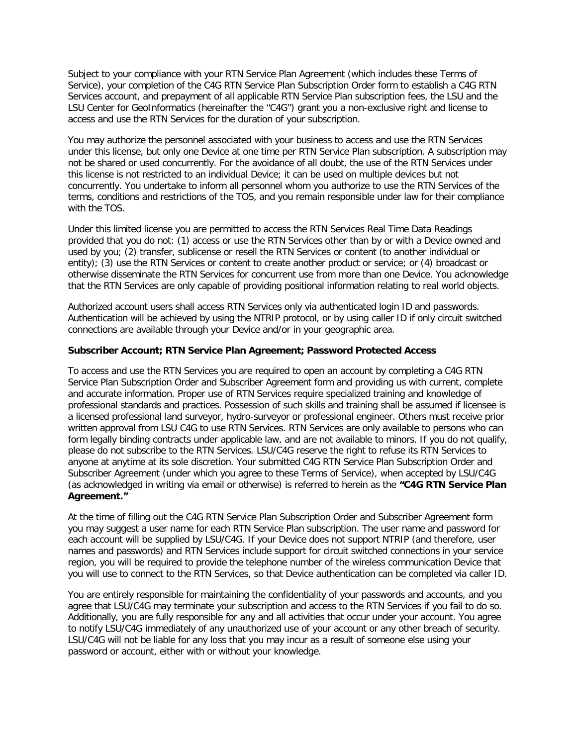Subject to your compliance with your RTN Service Plan Agreement (which includes these Terms of Service), your completion of the C4G RTN Service Plan Subscription Order form to establish a C4G RTN Services account, and prepayment of all applicable RTN Service Plan subscription fees, the LSU and the LSU Center for GeoInformatics (hereinafter the "C4G") grant you a non-exclusive right and license to access and use the RTN Services for the duration of your subscription.

You may authorize the personnel associated with your business to access and use the RTN Services under this license, but only one Device at one time per RTN Service Plan subscription. A subscription may not be shared or used concurrently. For the avoidance of all doubt, the use of the RTN Services under this license is not restricted to an individual Device; it can be used on multiple devices but not concurrently. You undertake to inform all personnel whom you authorize to use the RTN Services of the terms, conditions and restrictions of the TOS, and you remain responsible under law for their compliance with the TOS.

Under this limited license you are permitted to access the RTN Services Real Time Data Readings provided that you do not: (1) access or use the RTN Services other than by or with a Device owned and used by you; (2) transfer, sublicense or resell the RTN Services or content (to another individual or entity); (3) use the RTN Services or content to create another product or service; or (4) broadcast or otherwise disseminate the RTN Services for concurrent use from more than one Device. You acknowledge that the RTN Services are only capable of providing positional information relating to real world objects.

Authorized account users shall access RTN Services only via authenticated login ID and passwords. Authentication will be achieved by using the NTRIP protocol, or by using caller ID if only circuit switched connections are available through your Device and/or in your geographic area.

## **Subscriber Account; RTN Service Plan Agreement; Password Protected Access**

To access and use the RTN Services you are required to open an account by completing a C4G RTN Service Plan Subscription Order and Subscriber Agreement form and providing us with current, complete and accurate information. Proper use of RTN Services require specialized training and knowledge of professional standards and practices. Possession of such skills and training shall be assumed if licensee is a licensed professional land surveyor, hydro-surveyor or professional engineer. Others must receive prior written approval from LSU C4G to use RTN Services. RTN Services are only available to persons who can form legally binding contracts under applicable law, and are not available to minors. If you do not qualify, please do not subscribe to the RTN Services. LSU/C4G reserve the right to refuse its RTN Services to anyone at anytime at its sole discretion. Your submitted C4G RTN Service Plan Subscription Order and Subscriber Agreement (under which you agree to these Terms of Service), when accepted by LSU/C4G (as acknowledged in writing via email or otherwise) is referred to herein as the **"C4G RTN Service Plan Agreement."**

At the time of filling out the C4G RTN Service Plan Subscription Order and Subscriber Agreement form you may suggest a user name for each RTN Service Plan subscription. The user name and password for each account will be supplied by LSU/C4G. If your Device does not support NTRIP (and therefore, user names and passwords) and RTN Services include support for circuit switched connections in your service region, you will be required to provide the telephone number of the wireless communication Device that you will use to connect to the RTN Services, so that Device authentication can be completed via caller ID.

You are entirely responsible for maintaining the confidentiality of your passwords and accounts, and you agree that LSU/C4G may terminate your subscription and access to the RTN Services if you fail to do so. Additionally, you are fully responsible for any and all activities that occur under your account. You agree to notify LSU/C4G immediately of any unauthorized use of your account or any other breach of security. LSU/C4G will not be liable for any loss that you may incur as a result of someone else using your password or account, either with or without your knowledge.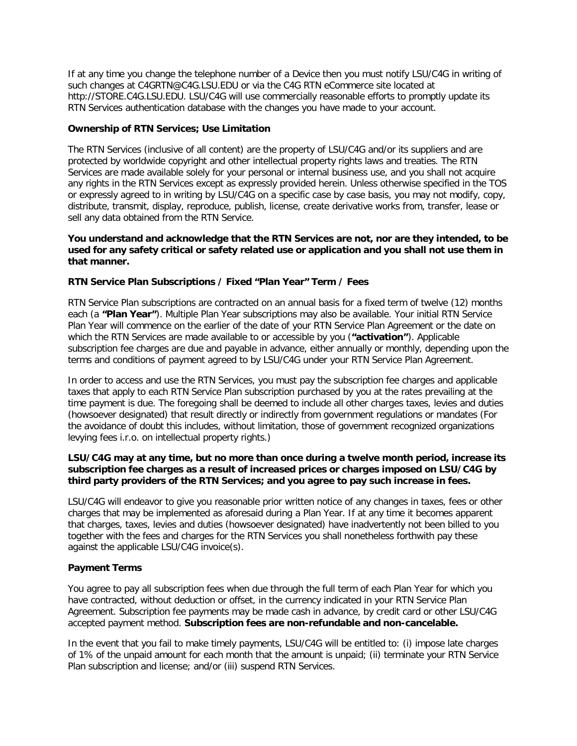If at any time you change the telephone number of a Device then you must notify LSU/C4G in writing of such changes at C4GRTN@C4G.LSU.EDU or via the C4G RTN eCommerce site located at http://STORE.C4G.LSU.EDU. LSU/C4G will use commercially reasonable efforts to promptly update its RTN Services authentication database with the changes you have made to your account.

## **Ownership of RTN Services; Use Limitation**

The RTN Services (inclusive of all content) are the property of LSU/C4G and/or its suppliers and are protected by worldwide copyright and other intellectual property rights laws and treaties. The RTN Services are made available solely for your personal or internal business use, and you shall not acquire any rights in the RTN Services except as expressly provided herein. Unless otherwise specified in the TOS or expressly agreed to in writing by LSU/C4G on a specific case by case basis, you may not modify, copy, distribute, transmit, display, reproduce, publish, license, create derivative works from, transfer, lease or sell any data obtained from the RTN Service.

## **You understand and acknowledge that the RTN Services are not, nor are they intended, to be used for any safety critical or safety related use or application and you shall not use them in that manner.**

# **RTN Service Plan Subscriptions / Fixed "Plan Year" Term / Fees**

RTN Service Plan subscriptions are contracted on an annual basis for a fixed term of twelve (12) months each (a **"Plan Year"**). Multiple Plan Year subscriptions may also be available. Your initial RTN Service Plan Year will commence on the earlier of the date of your RTN Service Plan Agreement or the date on which the RTN Services are made available to or accessible by you (**"activation"**). Applicable subscription fee charges are due and payable in advance, either annually or monthly, depending upon the terms and conditions of payment agreed to by LSU/C4G under your RTN Service Plan Agreement.

In order to access and use the RTN Services, you must pay the subscription fee charges and applicable taxes that apply to each RTN Service Plan subscription purchased by you at the rates prevailing at the time payment is due. The foregoing shall be deemed to include all other charges taxes, levies and duties (howsoever designated) that result directly or indirectly from government regulations or mandates (For the avoidance of doubt this includes, without limitation, those of government recognized organizations levying fees i.r.o. on intellectual property rights.)

## **LSU/C4G may at any time, but no more than once during a twelve month period, increase its subscription fee charges as a result of increased prices or charges imposed on LSU/C4G by third party providers of the RTN Services; and you agree to pay such increase in fees.**

LSU/C4G will endeavor to give you reasonable prior written notice of any changes in taxes, fees or other charges that may be implemented as aforesaid during a Plan Year. If at any time it becomes apparent that charges, taxes, levies and duties (howsoever designated) have inadvertently not been billed to you together with the fees and charges for the RTN Services you shall nonetheless forthwith pay these against the applicable LSU/C4G invoice(s).

#### **Payment Terms**

You agree to pay all subscription fees when due through the full term of each Plan Year for which you have contracted, without deduction or offset, in the currency indicated in your RTN Service Plan Agreement. Subscription fee payments may be made cash in advance, by credit card or other LSU/C4G accepted payment method. **Subscription fees are non-refundable and non-cancelable.**

In the event that you fail to make timely payments, LSU/C4G will be entitled to: (i) impose late charges of 1% of the unpaid amount for each month that the amount is unpaid; (ii) terminate your RTN Service Plan subscription and license; and/or (iii) suspend RTN Services.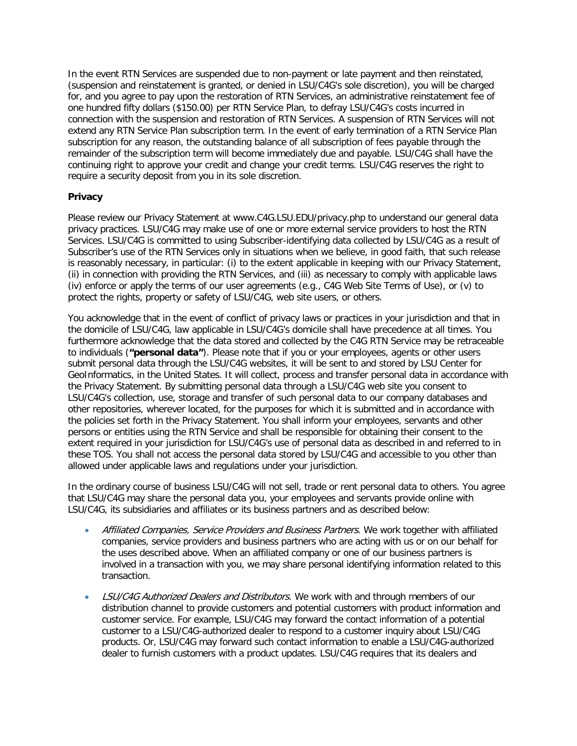In the event RTN Services are suspended due to non-payment or late payment and then reinstated, (suspension and reinstatement is granted, or denied in LSU/C4G's sole discretion), you will be charged for, and you agree to pay upon the restoration of RTN Services, an administrative reinstatement fee of one hundred fifty dollars (\$150.00) per RTN Service Plan, to defray LSU/C4G's costs incurred in connection with the suspension and restoration of RTN Services. A suspension of RTN Services will not extend any RTN Service Plan subscription term. In the event of early termination of a RTN Service Plan subscription for any reason, the outstanding balance of all subscription of fees payable through the remainder of the subscription term will become immediately due and payable. LSU/C4G shall have the continuing right to approve your credit and change your credit terms. LSU/C4G reserves the right to require a security deposit from you in its sole discretion.

# **Privacy**

Please review our Privacy Statement at www.C4G.LSU.EDU/privacy.php to understand our general data privacy practices. LSU/C4G may make use of one or more external service providers to host the RTN Services. LSU/C4G is committed to using Subscriber-identifying data collected by LSU/C4G as a result of Subscriber's use of the RTN Services only in situations when we believe, in good faith, that such release is reasonably necessary, in particular: (i) to the extent applicable in keeping with our Privacy Statement, (ii) in connection with providing the RTN Services, and (iii) as necessary to comply with applicable laws (iv) enforce or apply the terms of our user agreements (e.g., C4G Web Site Terms of Use), or (v) to protect the rights, property or safety of LSU/C4G, web site users, or others.

You acknowledge that in the event of conflict of privacy laws or practices in your jurisdiction and that in the domicile of LSU/C4G, law applicable in LSU/C4G's domicile shall have precedence at all times. You furthermore acknowledge that the data stored and collected by the C4G RTN Service may be retraceable to individuals (**"personal data"**). Please note that if you or your employees, agents or other users submit personal data through the LSU/C4G websites, it will be sent to and stored by LSU Center for GeoInformatics, in the United States. It will collect, process and transfer personal data in accordance with the Privacy Statement. By submitting personal data through a LSU/C4G web site you consent to LSU/C4G's collection, use, storage and transfer of such personal data to our company databases and other repositories, wherever located, for the purposes for which it is submitted and in accordance with the policies set forth in the Privacy Statement. You shall inform your employees, servants and other persons or entities using the RTN Service and shall be responsible for obtaining their consent to the extent required in your jurisdiction for LSU/C4G's use of personal data as described in and referred to in these TOS. You shall not access the personal data stored by LSU/C4G and accessible to you other than allowed under applicable laws and regulations under your jurisdiction.

In the ordinary course of business LSU/C4G will not sell, trade or rent personal data to others. You agree that LSU/C4G may share the personal data you, your employees and servants provide online with LSU/C4G, its subsidiaries and affiliates or its business partners and as described below:

- Affiliated Companies, Service Providers and Business Partners. We work together with affiliated companies, service providers and business partners who are acting with us or on our behalf for the uses described above. When an affiliated company or one of our business partners is involved in a transaction with you, we may share personal identifying information related to this transaction.
- LSU/C4G Authorized Dealers and Distributors. We work with and through members of our distribution channel to provide customers and potential customers with product information and customer service. For example, LSU/C4G may forward the contact information of a potential customer to a LSU/C4G-authorized dealer to respond to a customer inquiry about LSU/C4G products. Or, LSU/C4G may forward such contact information to enable a LSU/C4G-authorized dealer to furnish customers with a product updates. LSU/C4G requires that its dealers and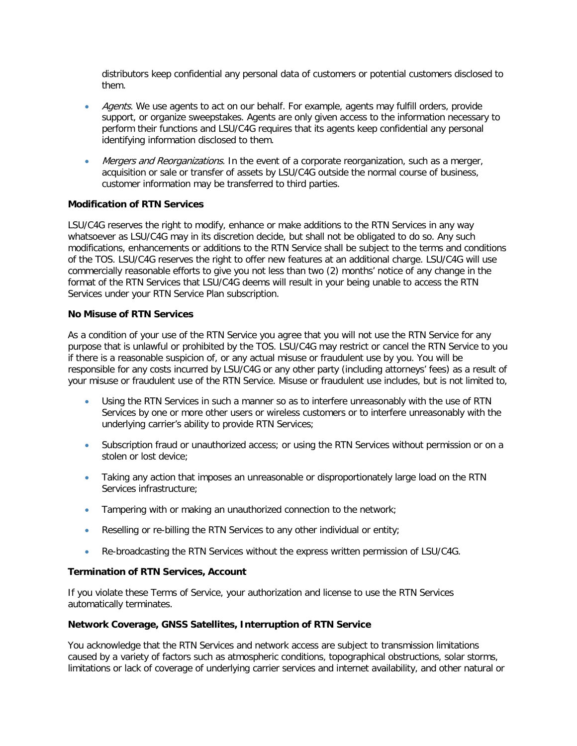distributors keep confidential any personal data of customers or potential customers disclosed to them.

- Agents. We use agents to act on our behalf. For example, agents may fulfill orders, provide support, or organize sweepstakes. Agents are only given access to the information necessary to perform their functions and LSU/C4G requires that its agents keep confidential any personal identifying information disclosed to them.
- Mergers and Reorganizations. In the event of a corporate reorganization, such as a merger, acquisition or sale or transfer of assets by LSU/C4G outside the normal course of business, customer information may be transferred to third parties.

# **Modification of RTN Services**

LSU/C4G reserves the right to modify, enhance or make additions to the RTN Services in any way whatsoever as LSU/C4G may in its discretion decide, but shall not be obligated to do so. Any such modifications, enhancements or additions to the RTN Service shall be subject to the terms and conditions of the TOS. LSU/C4G reserves the right to offer new features at an additional charge. LSU/C4G will use commercially reasonable efforts to give you not less than two (2) months' notice of any change in the format of the RTN Services that LSU/C4G deems will result in your being unable to access the RTN Services under your RTN Service Plan subscription.

#### **No Misuse of RTN Services**

As a condition of your use of the RTN Service you agree that you will not use the RTN Service for any purpose that is unlawful or prohibited by the TOS. LSU/C4G may restrict or cancel the RTN Service to you if there is a reasonable suspicion of, or any actual misuse or fraudulent use by you. You will be responsible for any costs incurred by LSU/C4G or any other party (including attorneys' fees) as a result of your misuse or fraudulent use of the RTN Service. Misuse or fraudulent use includes, but is not limited to,

- Using the RTN Services in such a manner so as to interfere unreasonably with the use of RTN Services by one or more other users or wireless customers or to interfere unreasonably with the underlying carrier's ability to provide RTN Services;
- Subscription fraud or unauthorized access; or using the RTN Services without permission or on a stolen or lost device;
- Taking any action that imposes an unreasonable or disproportionately large load on the RTN Services infrastructure;
- Tampering with or making an unauthorized connection to the network;
- Reselling or re-billing the RTN Services to any other individual or entity;
- Re-broadcasting the RTN Services without the express written permission of LSU/C4G.

#### **Termination of RTN Services, Account**

If you violate these Terms of Service, your authorization and license to use the RTN Services automatically terminates.

#### **Network Coverage, GNSS Satellites, Interruption of RTN Service**

You acknowledge that the RTN Services and network access are subject to transmission limitations caused by a variety of factors such as atmospheric conditions, topographical obstructions, solar storms, limitations or lack of coverage of underlying carrier services and internet availability, and other natural or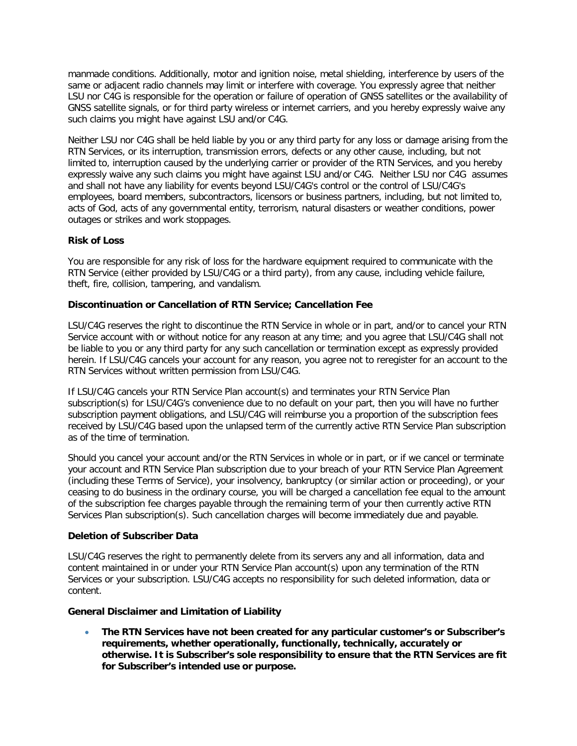manmade conditions. Additionally, motor and ignition noise, metal shielding, interference by users of the same or adjacent radio channels may limit or interfere with coverage. You expressly agree that neither LSU nor C4G is responsible for the operation or failure of operation of GNSS satellites or the availability of GNSS satellite signals, or for third party wireless or internet carriers, and you hereby expressly waive any such claims you might have against LSU and/or C4G.

Neither LSU nor C4G shall be held liable by you or any third party for any loss or damage arising from the RTN Services, or its interruption, transmission errors, defects or any other cause, including, but not limited to, interruption caused by the underlying carrier or provider of the RTN Services, and you hereby expressly waive any such claims you might have against LSU and/or C4G. Neither LSU nor C4G assumes and shall not have any liability for events beyond LSU/C4G's control or the control of LSU/C4G's employees, board members, subcontractors, licensors or business partners, including, but not limited to, acts of God, acts of any governmental entity, terrorism, natural disasters or weather conditions, power outages or strikes and work stoppages.

# **Risk of Loss**

You are responsible for any risk of loss for the hardware equipment required to communicate with the RTN Service (either provided by LSU/C4G or a third party), from any cause, including vehicle failure, theft, fire, collision, tampering, and vandalism.

# **Discontinuation or Cancellation of RTN Service; Cancellation Fee**

LSU/C4G reserves the right to discontinue the RTN Service in whole or in part, and/or to cancel your RTN Service account with or without notice for any reason at any time; and you agree that LSU/C4G shall not be liable to you or any third party for any such cancellation or termination except as expressly provided herein. If LSU/C4G cancels your account for any reason, you agree not to reregister for an account to the RTN Services without written permission from LSU/C4G.

If LSU/C4G cancels your RTN Service Plan account(s) and terminates your RTN Service Plan subscription(s) for LSU/C4G's convenience due to no default on your part, then you will have no further subscription payment obligations, and LSU/C4G will reimburse you a proportion of the subscription fees received by LSU/C4G based upon the unlapsed term of the currently active RTN Service Plan subscription as of the time of termination.

Should you cancel your account and/or the RTN Services in whole or in part, or if we cancel or terminate your account and RTN Service Plan subscription due to your breach of your RTN Service Plan Agreement (including these Terms of Service), your insolvency, bankruptcy (or similar action or proceeding), or your ceasing to do business in the ordinary course, you will be charged a cancellation fee equal to the amount of the subscription fee charges payable through the remaining term of your then currently active RTN Services Plan subscription(s). Such cancellation charges will become immediately due and payable.

#### **Deletion of Subscriber Data**

LSU/C4G reserves the right to permanently delete from its servers any and all information, data and content maintained in or under your RTN Service Plan account(s) upon any termination of the RTN Services or your subscription. LSU/C4G accepts no responsibility for such deleted information, data or content.

# **General Disclaimer and Limitation of Liability**

• **The RTN Services have not been created for any particular customer's or Subscriber's requirements, whether operationally, functionally, technically, accurately or otherwise. It is Subscriber's sole responsibility to ensure that the RTN Services are fit for Subscriber's intended use or purpose.**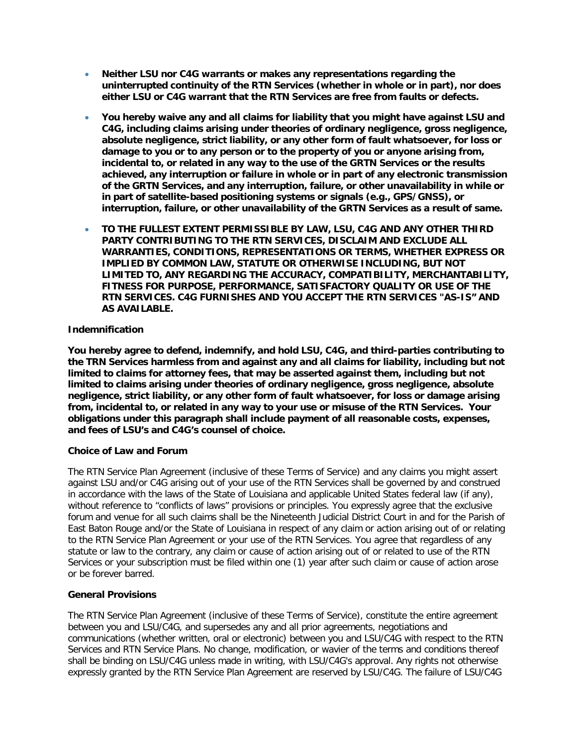- **Neither LSU nor C4G warrants or makes any representations regarding the uninterrupted continuity of the RTN Services (whether in whole or in part), nor does either LSU or C4G warrant that the RTN Services are free from faults or defects.**
- **You hereby waive any and all claims for liability that you might have against LSU and C4G, including claims arising under theories of ordinary negligence, gross negligence, absolute negligence, strict liability, or any other form of fault whatsoever, for loss or damage to you or to any person or to the property of you or anyone arising from, incidental to, or related in any way to the use of the GRTN Services or the results achieved, any interruption or failure in whole or in part of any electronic transmission of the GRTN Services, and any interruption, failure, or other unavailability in while or in part of satellite-based positioning systems or signals (e.g., GPS/GNSS), or interruption, failure, or other unavailability of the GRTN Services as a result of same.**
- **TO THE FULLEST EXTENT PERMISSIBLE BY LAW, LSU, C4G AND ANY OTHER THIRD PARTY CONTRIBUTING TO THE RTN SERVICES, DISCLAIM AND EXCLUDE ALL WARRANTIES, CONDITIONS, REPRESENTATIONS OR TERMS, WHETHER EXPRESS OR IMPLIED BY COMMON LAW, STATUTE OR OTHERWISE INCLUDING, BUT NOT LIMITED TO, ANY REGARDING THE ACCURACY, COMPATIBILITY, MERCHANTABILITY, FITNESS FOR PURPOSE, PERFORMANCE, SATISFACTORY QUALITY OR USE OF THE RTN SERVICES. C4G FURNISHES AND YOU ACCEPT THE RTN SERVICES "AS-IS" AND AS AVAILABLE.**

# **Indemnification**

**You hereby agree to defend, indemnify, and hold LSU, C4G, and third-parties contributing to the TRN Services harmless from and against any and all claims for liability, including but not limited to claims for attorney fees, that may be asserted against them, including but not limited to claims arising under theories of ordinary negligence, gross negligence, absolute negligence, strict liability, or any other form of fault whatsoever, for loss or damage arising from, incidental to, or related in any way to your use or misuse of the RTN Services. Your obligations under this paragraph shall include payment of all reasonable costs, expenses, and fees of LSU's and C4G's counsel of choice.** 

# **Choice of Law and Forum**

The RTN Service Plan Agreement (inclusive of these Terms of Service) and any claims you might assert against LSU and/or C4G arising out of your use of the RTN Services shall be governed by and construed in accordance with the laws of the State of Louisiana and applicable United States federal law (if any), without reference to "conflicts of laws" provisions or principles. You expressly agree that the exclusive forum and venue for all such claims shall be the Nineteenth Judicial District Court in and for the Parish of East Baton Rouge and/or the State of Louisiana in respect of any claim or action arising out of or relating to the RTN Service Plan Agreement or your use of the RTN Services. You agree that regardless of any statute or law to the contrary, any claim or cause of action arising out of or related to use of the RTN Services or your subscription must be filed within one (1) year after such claim or cause of action arose or be forever barred.

# **General Provisions**

The RTN Service Plan Agreement (inclusive of these Terms of Service), constitute the entire agreement between you and LSU/C4G, and supersedes any and all prior agreements, negotiations and communications (whether written, oral or electronic) between you and LSU/C4G with respect to the RTN Services and RTN Service Plans. No change, modification, or wavier of the terms and conditions thereof shall be binding on LSU/C4G unless made in writing, with LSU/C4G's approval. Any rights not otherwise expressly granted by the RTN Service Plan Agreement are reserved by LSU/C4G. The failure of LSU/C4G